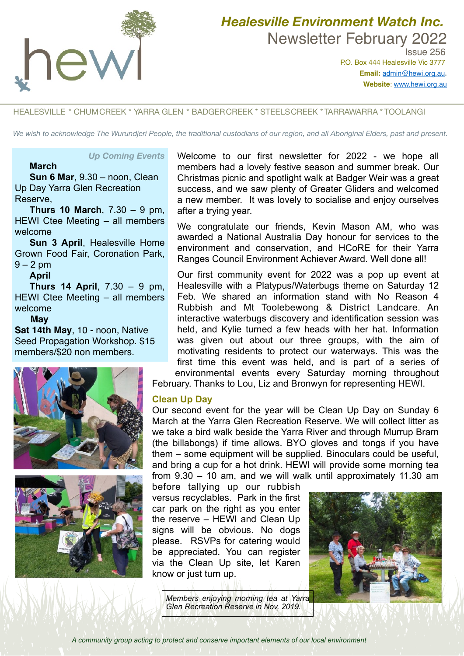

# *Healesville Environment Watch Inc.*  Newsletter February 2022

 Issue 256 P.O. Box 444 Healesville Vic 3777 **Email:** [admin@hewi.org.au](mailto:admin@hewi.org.au)**. Website**: [www.hewi.org.au](http://www.hewi.org.au)

#### HEALESVILLE \* CHUMCREEK \* YARRA GLEN \* BADGERCREEK \* STEELSCREEK \* TARRAWARRA \* TOOLANGI

*We wish to acknowledge The Wurundjeri People, the traditional custodians of our region, and all Aboriginal Elders, past and present.*

#### *Up Coming Events*

#### **March**

**Sun 6 Mar**, 9.30 – noon, Clean Up Day Yarra Glen Recreation Reserve,

**Thurs 10 March**, 7.30 – 9 pm, HEWI Ctee Meeting – all members welcome

**Sun 3 April**, Healesville Home Grown Food Fair, Coronation Park,  $9 - 2$  pm

#### **April**

**Thurs 14 April**, 7.30 – 9 pm, HEWI Ctee Meeting – all members welcome

#### **May**

**Sat 14th May**, 10 - noon, Native Seed Propagation Workshop. \$15 members/\$20 non members.





Welcome to our first newsletter for 2022 - we hope all members had a lovely festive season and summer break. Our Christmas picnic and spotlight walk at Badger Weir was a great success, and we saw plenty of Greater Gliders and welcomed a new member. It was lovely to socialise and enjoy ourselves after a trying year.

We congratulate our friends, Kevin Mason AM, who was awarded a National Australia Day honour for services to the environment and conservation, and HCoRE for their Yarra Ranges Council Environment Achiever Award. Well done all!

Our first community event for 2022 was a pop up event at Healesville with a Platypus/Waterbugs theme on Saturday 12 Feb. We shared an information stand with No Reason 4 Rubbish and Mt Toolebewong & District Landcare. An interactive waterbugs discovery and identification session was held, and Kylie turned a few heads with her hat. Information was given out about our three groups, with the aim of motivating residents to protect our waterways. This was the first time this event was held, and is part of a series of environmental events every Saturday morning throughout

February. Thanks to Lou, Liz and Bronwyn for representing HEWI.

#### **Clean Up Day**

Our second event for the year will be Clean Up Day on Sunday 6 March at the Yarra Glen Recreation Reserve. We will collect litter as we take a bird walk beside the Yarra River and through Murrup Brarn (the billabongs) if time allows. BYO gloves and tongs if you have them – some equipment will be supplied. Binoculars could be useful, and bring a cup for a hot drink. HEWI will provide some morning tea from 9.30 – 10 am, and we will walk until approximately 11.30 am

before tallying up our rubbish versus recyclables. Park in the first car park on the right as you enter the reserve – HEWI and Clean Up signs will be obvious. No dogs please. RSVPs for catering would be appreciated. You can register via the Clean Up site, let Karen know or just turn up.

*Members enjoying morning tea at Yarra Glen Recreation Reserve in Nov, 2019.*